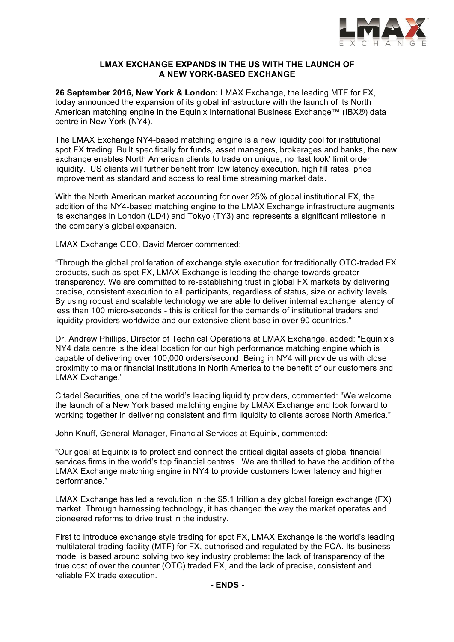

# **LMAX EXCHANGE EXPANDS IN THE US WITH THE LAUNCH OF A NEW YORK-BASED EXCHANGE**

**26 September 2016, New York & London:** LMAX Exchange, the leading MTF for FX, today announced the expansion of its global infrastructure with the launch of its North American matching engine in the Equinix International Business Exchange™ (IBX®) data centre in New York (NY4).

The LMAX Exchange NY4-based matching engine is a new liquidity pool for institutional spot FX trading. Built specifically for funds, asset managers, brokerages and banks, the new exchange enables North American clients to trade on unique, no 'last look' limit order liquidity. US clients will further benefit from low latency execution, high fill rates, price improvement as standard and access to real time streaming market data.

With the North American market accounting for over 25% of global institutional FX, the addition of the NY4-based matching engine to the LMAX Exchange infrastructure augments its exchanges in London (LD4) and Tokyo (TY3) and represents a significant milestone in the company's global expansion.

LMAX Exchange CEO, David Mercer commented:

"Through the global proliferation of exchange style execution for traditionally OTC-traded FX products, such as spot FX, LMAX Exchange is leading the charge towards greater transparency. We are committed to re-establishing trust in global FX markets by delivering precise, consistent execution to all participants, regardless of status, size or activity levels. By using robust and scalable technology we are able to deliver internal exchange latency of less than 100 micro-seconds - this is critical for the demands of institutional traders and liquidity providers worldwide and our extensive client base in over 90 countries."

Dr. Andrew Phillips, Director of Technical Operations at LMAX Exchange, added: "Equinix's NY4 data centre is the ideal location for our high performance matching engine which is capable of delivering over 100,000 orders/second. Being in NY4 will provide us with close proximity to major financial institutions in North America to the benefit of our customers and LMAX Exchange."

Citadel Securities, one of the world's leading liquidity providers, commented: "We welcome the launch of a New York based matching engine by LMAX Exchange and look forward to working together in delivering consistent and firm liquidity to clients across North America."

John Knuff, General Manager, Financial Services at Equinix, commented:

"Our goal at Equinix is to protect and connect the critical digital assets of global financial services firms in the world's top financial centres. We are thrilled to have the addition of the LMAX Exchange matching engine in NY4 to provide customers lower latency and higher performance."

LMAX Exchange has led a revolution in the \$5.1 trillion a day global foreign exchange (FX) market. Through harnessing technology, it has changed the way the market operates and pioneered reforms to drive trust in the industry.

First to introduce exchange style trading for spot FX, LMAX Exchange is the world's leading multilateral trading facility (MTF) for FX, authorised and regulated by the FCA. Its business model is based around solving two key industry problems: the lack of transparency of the true cost of over the counter (OTC) traded FX, and the lack of precise, consistent and reliable FX trade execution.